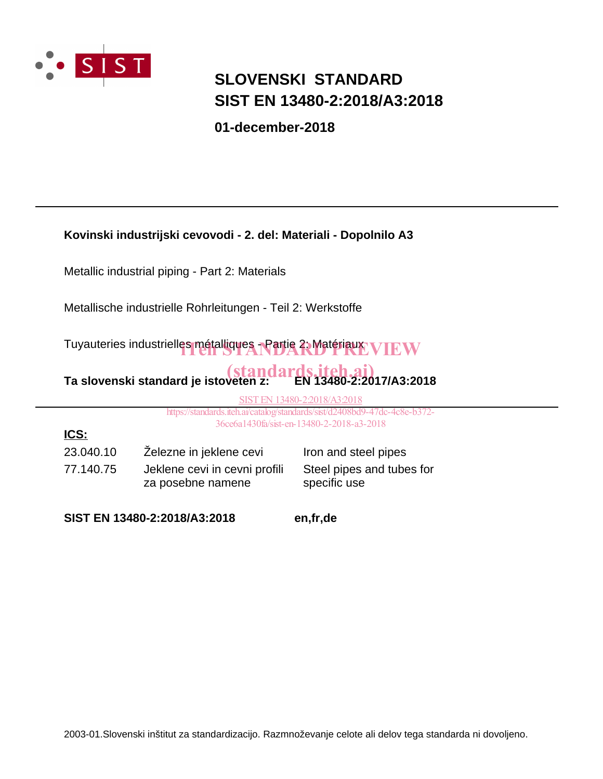

### **SIST EN 13480-2:2018/A3:2018 SLOVENSKI STANDARD**

**01-december-2018**

| Kovinski industrijski cevovodi - 2. del: Materiali - Dopolnilo A3 |  |  |
|-------------------------------------------------------------------|--|--|
|                                                                   |  |  |

Metallic industrial piping - Part 2: Materials

Metallische industrielle Rohrleitungen - Teil 2: Werkstoffe

Tuyauteries industrielles métalliques - Partie 2: Matériaux VIEW

# Ta slovenski standard je istoveten z: **EN 13480-2:2017/A3:2018**

SIST EN 13480-2:2018/A3:2018

https://standards.iteh.ai/catalog/standards/sist/d2408bd9-47dc-4c8e-b372- 36ce6a1430fa/sist-en-13480-2-2018-a3-2018

77.140.75 Jeklene cevi in cevni profili za posebne namene 23.040.10 Železne in jeklene cevi Iron and steel pipes **ICS:**

Steel pipes and tubes for specific use

**SIST EN 13480-2:2018/A3:2018 en,fr,de**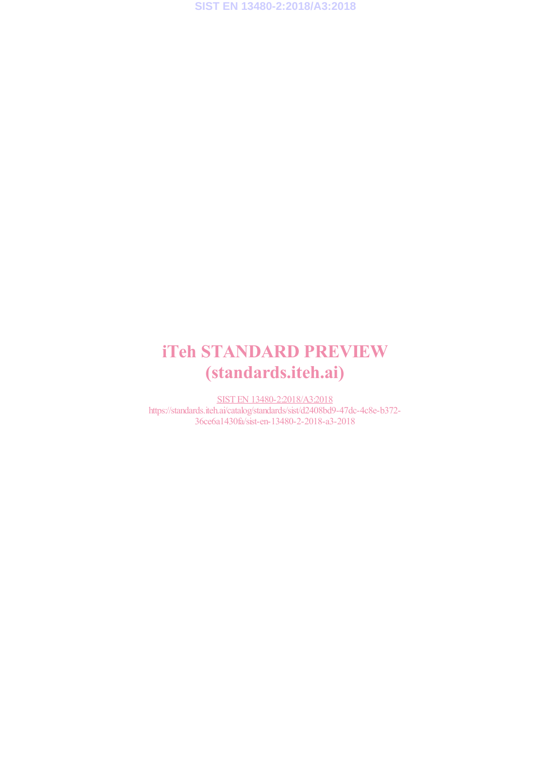## iTeh STANDARD PREVIEW (standards.iteh.ai)

SIST EN 13480-2:2018/A3:2018 https://standards.iteh.ai/catalog/standards/sist/d2408bd9-47dc-4c8e-b372- 36ce6a1430fa/sist-en-13480-2-2018-a3-2018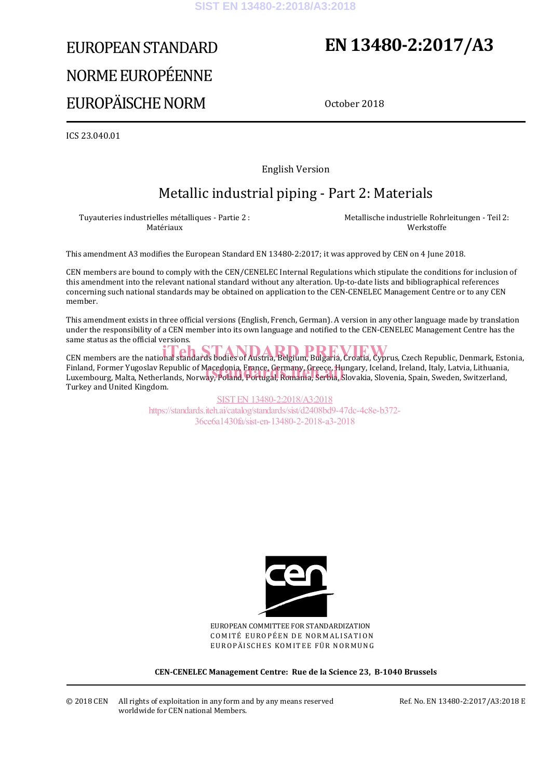# EUROPEAN STANDARD NORME EUROPÉENNE EUROPÄISCHE NORM

# **EN 13480-2:2017/A3**

October 2018

ICS 23.040.01

English Version

### Metallic industrial piping - Part 2: Materials

Tuyauteries industrielles métalliques - Partie 2 : Matériaux

 Metallische industrielle Rohrleitungen - Teil 2: Werkstoffe

This amendment A3 modifies the European Standard EN 13480-2:2017; it was approved by CEN on 4 June 2018.

CEN members are bound to comply with the CEN/CENELEC Internal Regulations which stipulate the conditions for inclusion of this amendment into the relevant national standard without any alteration. Up-to-date lists and bibliographical references concerning such national standards may be obtained on application to the CEN-CENELEC Management Centre or to any CEN member.

This amendment exists in three official versions (English, French, German). A version in any other language made by translation under the responsibility of a CEN member into its own language and notified to the CEN-CENELEC Management Centre has the same status as the official versions.

CEN members are the national standards bodies of Austria, Belgium, Bulgaria, Croatia, Cyprus, Czech Republic, Denmark, Estonia, Finland, Former Yugoslav Republic of Macedonia, France, Germany, Greece, Hungary, Iceland, Ireland, Italy, Latvia, Lithuania,<br>Luxembourg, Malta, Netherlands, Norway<del>,</del> Poland, Portugal, Romania, Serbia, Slovakia, Slovenia, Luxembourg, Malta, Netherlands, Norway, Poland, Portugal, Romania, Serbia, Slovakia, Slovenia, Spain, Sweden, Switzerland, Turkey and United Kingdom.

> SIST EN 13480-2:2018/A3:2018 https://standards.iteh.ai/catalog/standards/sist/d2408bd9-47dc-4c8e-b372- 36ce6a1430fa/sist-en-13480-2-2018-a3-2018



EUROPEAN COMMITTEE FOR STANDARDIZATION COMITÉ EUROPÉEN DE NORMALISATION EUROPÄISCHES KOMITEE FÜR NORMUNG

**CEN-CENELEC Management Centre: Rue de la Science 23, B-1040 Brussels** 

© 2018 CEN All rights of exploitation in any form and by any means reserved worldwide for CEN national Members.

Ref. No. EN 13480-2:2017/A3:2018 E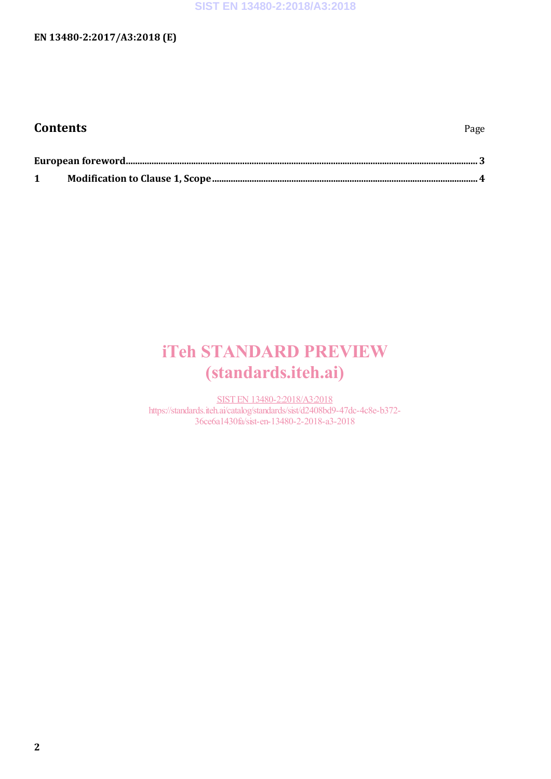#### **EN 13480-2:2017/A3:2018 (E)**

### **Contents** Page

## iTeh STANDARD PREVIEW (standards.iteh.ai)

SIST EN 13480-2:2018/A3:2018 https://standards.iteh.ai/catalog/standards/sist/d2408bd9-47dc-4c8e-b372- 36ce6a1430fa/sist-en-13480-2-2018-a3-2018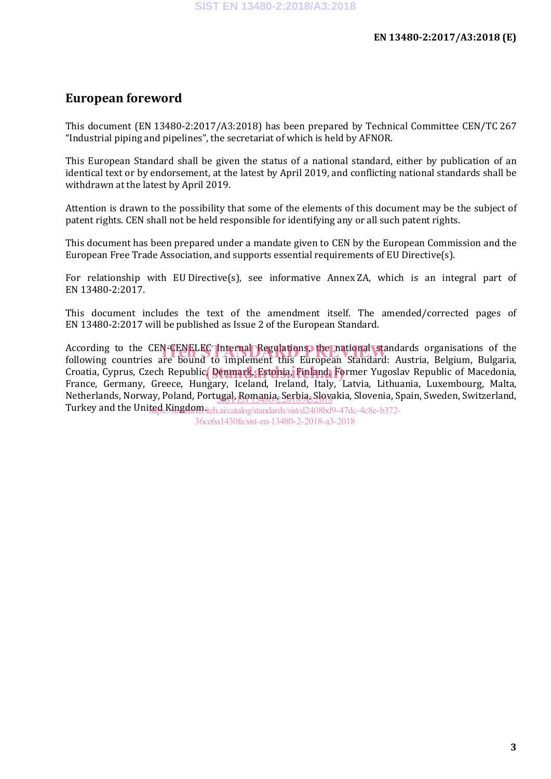### **European foreword**

This document (EN 13480-2:2017/A3:2018) has been prepared by Technical Committee CEN/TC 267 "Industrial piping and pipelines", the secretariat of which is held by AFNOR.

This European Standard shall be given the status of a national standard, either by publication of an identical text or by endorsement, at the latest by April 2019, and conflicting national standards shall be withdrawn at the latest by April 2019.

Attention is drawn to the possibility that some of the elements of this document may be the subject of patent rights. CEN shall not be held responsible for identifying any or all such patent rights.

This document has been prepared under a mandate given to CEN by the European Commission and the European Free Trade Association, and supports essential requirements of EU Directive(s).

For relationship with EU Directive(s), see informative Annex ZA, which is an integral part of EN 13480-2:2017.

This document includes the text of the amendment itself. The amended/corrected pages of EN 13480-2:2017 will be published as Issue 2 of the European Standard.

According to the CEN-CENELEC Internal Regulations, the national standards organisations of the following countries are bound to implement this European Standard: Austria, Belgium, Bulgaria, following countries are bound to implement this European Standard: Austria, Belgium, Bulgaria, Croatia, Cyprus, Czech Republic, Denmark, Estonia, Finland, Former Yugoslav Republic of Macedonia, Express, Campana, France, Germany, Greece, Hungary, Iceland, Ireland, Italy, Latvia, Lithuania, Luxembourg, Malta, Netherlands, Norway, Poland, Portugal, Romania, <u>Serbia, Slova</u>kia, Slovenia, Spain, Sweden, Switzerland,<br>— Turkey and the United Kingdom.iteh.ai/catalog/standards/sist/d2408bd9-47dc-4c8e-b372-

36ce6a1430fa/sist-en-13480-2-2018-a3-2018